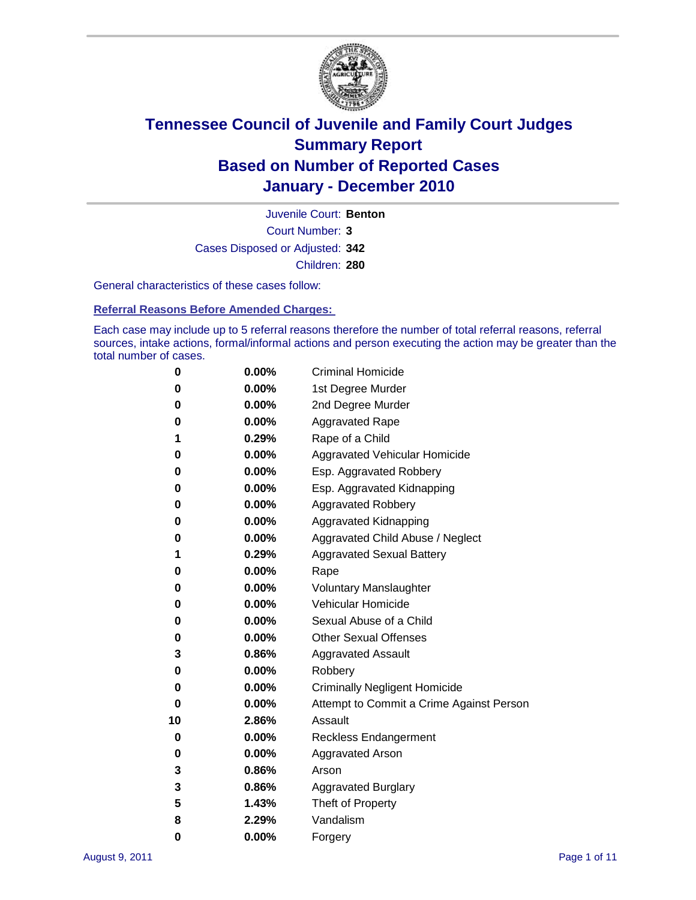

Court Number: **3** Juvenile Court: **Benton** Cases Disposed or Adjusted: **342** Children: **280**

General characteristics of these cases follow:

**Referral Reasons Before Amended Charges:** 

Each case may include up to 5 referral reasons therefore the number of total referral reasons, referral sources, intake actions, formal/informal actions and person executing the action may be greater than the total number of cases.

| 0  | 0.00% | <b>Criminal Homicide</b>                 |
|----|-------|------------------------------------------|
| 0  | 0.00% | 1st Degree Murder                        |
| 0  | 0.00% | 2nd Degree Murder                        |
| 0  | 0.00% | <b>Aggravated Rape</b>                   |
| 1  | 0.29% | Rape of a Child                          |
| 0  | 0.00% | Aggravated Vehicular Homicide            |
| 0  | 0.00% | Esp. Aggravated Robbery                  |
| 0  | 0.00% | Esp. Aggravated Kidnapping               |
| 0  | 0.00% | <b>Aggravated Robbery</b>                |
| 0  | 0.00% | Aggravated Kidnapping                    |
| 0  | 0.00% | Aggravated Child Abuse / Neglect         |
| 1  | 0.29% | <b>Aggravated Sexual Battery</b>         |
| 0  | 0.00% | Rape                                     |
| 0  | 0.00% | <b>Voluntary Manslaughter</b>            |
| 0  | 0.00% | Vehicular Homicide                       |
| 0  | 0.00% | Sexual Abuse of a Child                  |
| 0  | 0.00% | <b>Other Sexual Offenses</b>             |
| 3  | 0.86% | <b>Aggravated Assault</b>                |
| 0  | 0.00% | Robbery                                  |
| 0  | 0.00% | <b>Criminally Negligent Homicide</b>     |
| 0  | 0.00% | Attempt to Commit a Crime Against Person |
| 10 | 2.86% | Assault                                  |
| 0  | 0.00% | <b>Reckless Endangerment</b>             |
| 0  | 0.00% | <b>Aggravated Arson</b>                  |
| 3  | 0.86% | Arson                                    |
| 3  | 0.86% | <b>Aggravated Burglary</b>               |
| 5  | 1.43% | Theft of Property                        |
| 8  | 2.29% | Vandalism                                |
| 0  | 0.00% | Forgery                                  |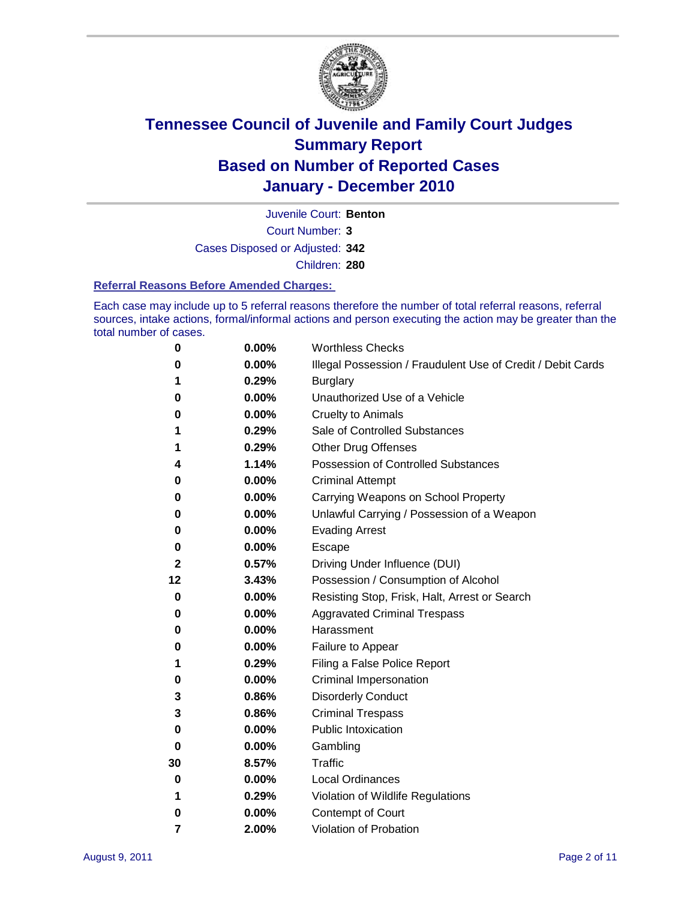

Juvenile Court: **Benton**

Court Number: **3**

Cases Disposed or Adjusted: **342**

Children: **280**

#### **Referral Reasons Before Amended Charges:**

Each case may include up to 5 referral reasons therefore the number of total referral reasons, referral sources, intake actions, formal/informal actions and person executing the action may be greater than the total number of cases.

| 0  | 0.00% | <b>Worthless Checks</b>                                     |
|----|-------|-------------------------------------------------------------|
| 0  | 0.00% | Illegal Possession / Fraudulent Use of Credit / Debit Cards |
| 1  | 0.29% | <b>Burglary</b>                                             |
| 0  | 0.00% | Unauthorized Use of a Vehicle                               |
| 0  | 0.00% | <b>Cruelty to Animals</b>                                   |
| 1  | 0.29% | Sale of Controlled Substances                               |
| 1  | 0.29% | <b>Other Drug Offenses</b>                                  |
| 4  | 1.14% | Possession of Controlled Substances                         |
| 0  | 0.00% | <b>Criminal Attempt</b>                                     |
| 0  | 0.00% | Carrying Weapons on School Property                         |
| 0  | 0.00% | Unlawful Carrying / Possession of a Weapon                  |
| 0  | 0.00% | <b>Evading Arrest</b>                                       |
| 0  | 0.00% | Escape                                                      |
| 2  | 0.57% | Driving Under Influence (DUI)                               |
| 12 | 3.43% | Possession / Consumption of Alcohol                         |
| 0  | 0.00% | Resisting Stop, Frisk, Halt, Arrest or Search               |
| 0  | 0.00% | <b>Aggravated Criminal Trespass</b>                         |
| 0  | 0.00% | Harassment                                                  |
| 0  | 0.00% | Failure to Appear                                           |
| 1  | 0.29% | Filing a False Police Report                                |
| 0  | 0.00% | Criminal Impersonation                                      |
| 3  | 0.86% | <b>Disorderly Conduct</b>                                   |
| 3  | 0.86% | <b>Criminal Trespass</b>                                    |
| 0  | 0.00% | <b>Public Intoxication</b>                                  |
| 0  | 0.00% | Gambling                                                    |
| 30 | 8.57% | <b>Traffic</b>                                              |
| 0  | 0.00% | <b>Local Ordinances</b>                                     |
| 1  | 0.29% | Violation of Wildlife Regulations                           |
| 0  | 0.00% | Contempt of Court                                           |
| 7  | 2.00% | Violation of Probation                                      |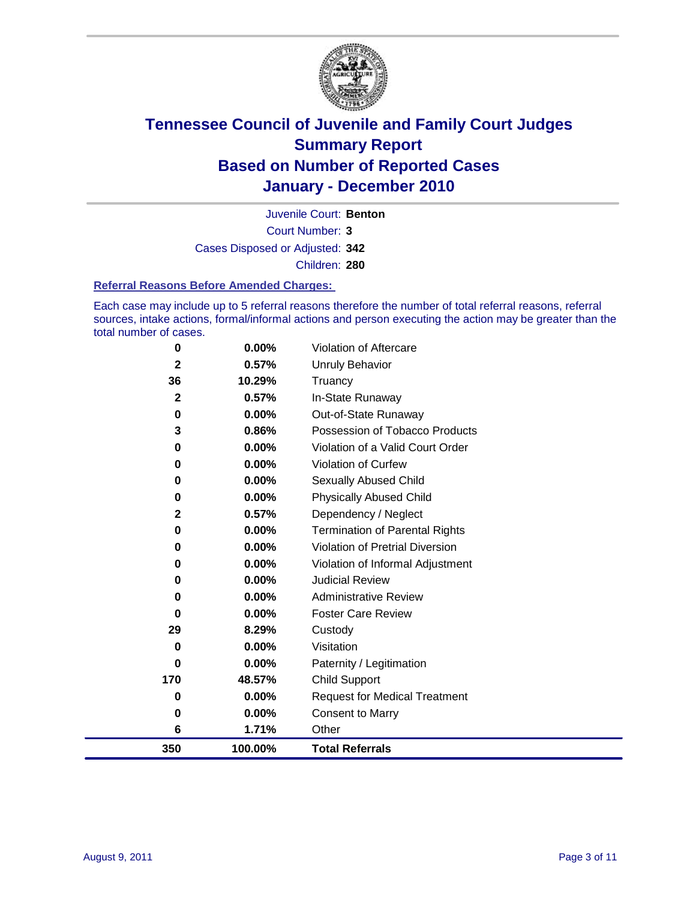

Court Number: **3** Juvenile Court: **Benton** Cases Disposed or Adjusted: **342** Children: **280**

#### **Referral Reasons Before Amended Charges:**

Each case may include up to 5 referral reasons therefore the number of total referral reasons, referral sources, intake actions, formal/informal actions and person executing the action may be greater than the total number of cases.

| 350          | 100.00%  | <b>Total Referrals</b>                 |
|--------------|----------|----------------------------------------|
| 6            | 1.71%    | Other                                  |
| 0            | 0.00%    | <b>Consent to Marry</b>                |
| 0            | 0.00%    | <b>Request for Medical Treatment</b>   |
| 170          | 48.57%   | <b>Child Support</b>                   |
| 0            | 0.00%    | Paternity / Legitimation               |
| 0            | 0.00%    | Visitation                             |
| 29           | 8.29%    | Custody                                |
| 0            | 0.00%    | <b>Foster Care Review</b>              |
| 0            | $0.00\%$ | <b>Administrative Review</b>           |
| 0            | $0.00\%$ | <b>Judicial Review</b>                 |
| 0            | 0.00%    | Violation of Informal Adjustment       |
| 0            | $0.00\%$ | <b>Violation of Pretrial Diversion</b> |
| $\bf{0}$     | 0.00%    | Termination of Parental Rights         |
| 2            | 0.57%    | Dependency / Neglect                   |
| $\bf{0}$     | 0.00%    | <b>Physically Abused Child</b>         |
| 0            | 0.00%    | Sexually Abused Child                  |
| 0            | 0.00%    | Violation of Curfew                    |
| 0            | $0.00\%$ | Violation of a Valid Court Order       |
| 3            | 0.86%    | Possession of Tobacco Products         |
| 0            | $0.00\%$ | Out-of-State Runaway                   |
| $\mathbf{2}$ | 0.57%    | In-State Runaway                       |
| 36           | 10.29%   | Truancy                                |
| 2            | 0.57%    | Unruly Behavior                        |
| 0            | 0.00%    | <b>Violation of Aftercare</b>          |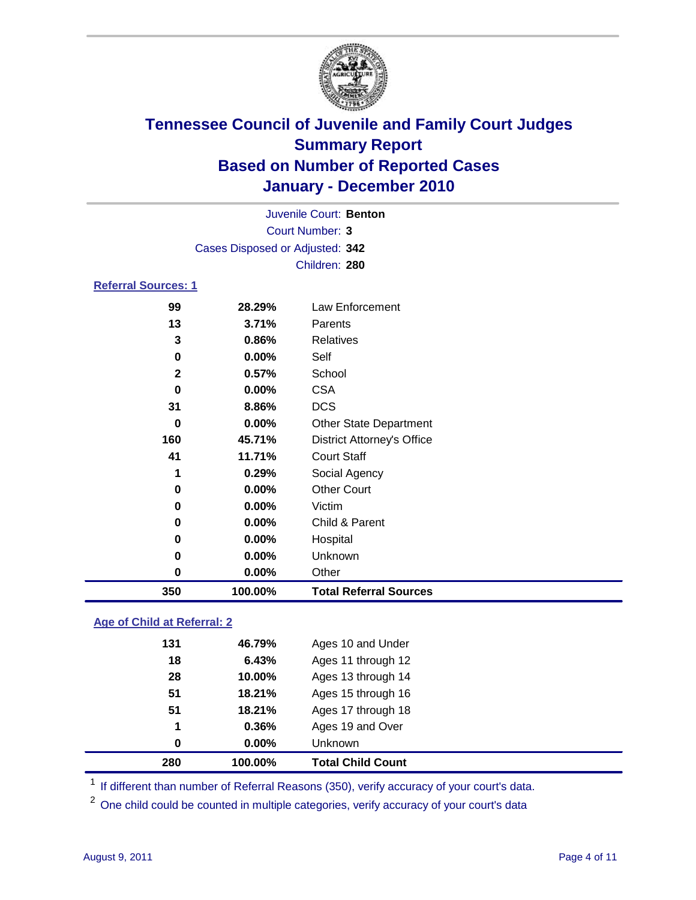

|                     |                                 | Juvenile Court: Benton            |
|---------------------|---------------------------------|-----------------------------------|
|                     |                                 | Court Number: 3                   |
|                     | Cases Disposed or Adjusted: 342 |                                   |
|                     |                                 | Children: 280                     |
| Referral Sources: 1 |                                 |                                   |
| 99                  | 28.29%                          | Law Enforcement                   |
| 13                  | 3.71%                           | Parents                           |
| 3                   | 0.86%                           | <b>Relatives</b>                  |
| 0                   | $0.00\%$                        | Self                              |
| $\mathbf{2}$        | 0.57%                           | School                            |
| 0                   | $0.00\%$                        | <b>CSA</b>                        |
| 31                  | 8.86%                           | <b>DCS</b>                        |
| 0                   | $0.00\%$                        | <b>Other State Department</b>     |
| 160                 | 45.71%                          | <b>District Attorney's Office</b> |
| 41                  | 11.71%                          | <b>Court Staff</b>                |
| 1                   | 0.29%                           | Social Agency                     |
| 0                   | $0.00\%$                        | <b>Other Court</b>                |
| 0                   | $0.00\%$                        | Victim                            |
| 0                   | $0.00\%$                        | Child & Parent                    |

| 350 | 100.00%  | <b>Total Referral Sources</b> |
|-----|----------|-------------------------------|
|     | $0.00\%$ | Other                         |
|     | $0.00\%$ | Unknown                       |
|     | $0.00\%$ | Hospital                      |

### **Age of Child at Referral: 2**

| 280 | 100.00%  | <b>Total Child Count</b> |
|-----|----------|--------------------------|
| 0   | $0.00\%$ | Unknown                  |
| 1   | 0.36%    | Ages 19 and Over         |
| 51  | 18.21%   | Ages 17 through 18       |
| 51  | 18.21%   | Ages 15 through 16       |
| 28  | 10.00%   | Ages 13 through 14       |
| 18  | 6.43%    | Ages 11 through 12       |
| 131 | 46.79%   | Ages 10 and Under        |
|     |          |                          |

<sup>1</sup> If different than number of Referral Reasons (350), verify accuracy of your court's data.

<sup>2</sup> One child could be counted in multiple categories, verify accuracy of your court's data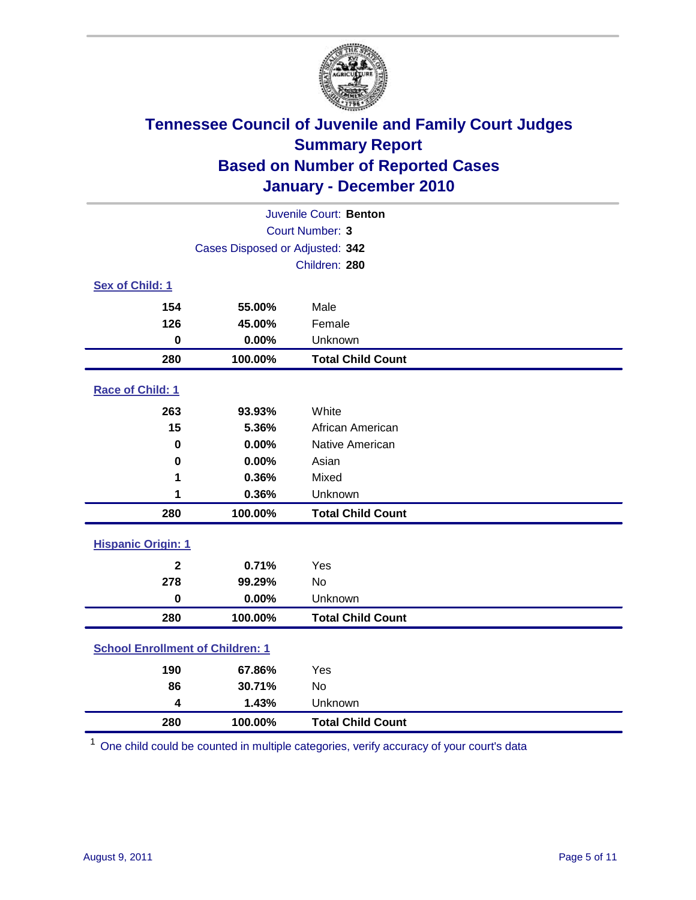

| Juvenile Court: Benton                  |         |                          |  |  |
|-----------------------------------------|---------|--------------------------|--|--|
| <b>Court Number: 3</b>                  |         |                          |  |  |
| Cases Disposed or Adjusted: 342         |         |                          |  |  |
| Children: 280                           |         |                          |  |  |
| Sex of Child: 1                         |         |                          |  |  |
| 154                                     | 55.00%  | Male                     |  |  |
| 126                                     | 45.00%  | Female                   |  |  |
| $\mathbf 0$                             | 0.00%   | Unknown                  |  |  |
| 280                                     | 100.00% | <b>Total Child Count</b> |  |  |
| Race of Child: 1                        |         |                          |  |  |
| 263                                     | 93.93%  | White                    |  |  |
| 15                                      | 5.36%   | African American         |  |  |
| 0                                       | 0.00%   | Native American          |  |  |
| $\pmb{0}$                               | 0.00%   | Asian                    |  |  |
| 1                                       | 0.36%   | Mixed                    |  |  |
| 1                                       | 0.36%   | Unknown                  |  |  |
| 280                                     | 100.00% | <b>Total Child Count</b> |  |  |
| <b>Hispanic Origin: 1</b>               |         |                          |  |  |
| $\mathbf{2}$                            | 0.71%   | Yes                      |  |  |
| 278                                     | 99.29%  | <b>No</b>                |  |  |
| $\mathbf 0$                             | 0.00%   | Unknown                  |  |  |
| 280                                     | 100.00% | <b>Total Child Count</b> |  |  |
| <b>School Enrollment of Children: 1</b> |         |                          |  |  |
| 190                                     | 67.86%  | Yes                      |  |  |
| 86                                      | 30.71%  | No                       |  |  |
| 4                                       | 1.43%   | Unknown                  |  |  |
| 280                                     | 100.00% | <b>Total Child Count</b> |  |  |

One child could be counted in multiple categories, verify accuracy of your court's data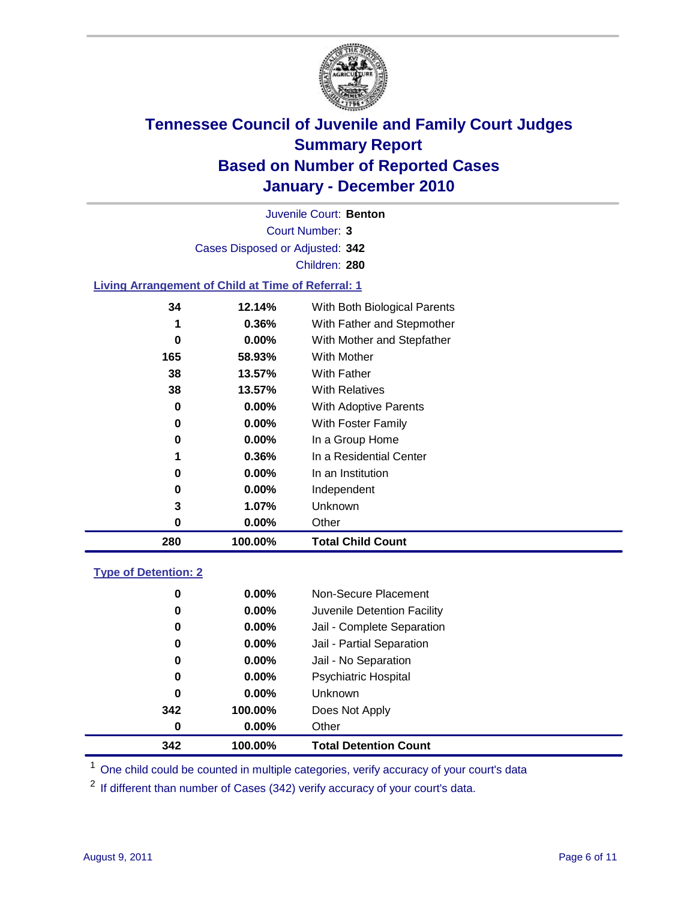

Court Number: **3** Juvenile Court: **Benton** Cases Disposed or Adjusted: **342** Children: **280**

#### **Living Arrangement of Child at Time of Referral: 1**

| 280 | 100.00%  | <b>Total Child Count</b>     |
|-----|----------|------------------------------|
| 0   | 0.00%    | Other                        |
| 3   | 1.07%    | Unknown                      |
| 0   | $0.00\%$ | Independent                  |
| 0   | $0.00\%$ | In an Institution            |
| 1   | 0.36%    | In a Residential Center      |
| 0   | $0.00\%$ | In a Group Home              |
| 0   | $0.00\%$ | With Foster Family           |
| 0   | 0.00%    | With Adoptive Parents        |
| 38  | 13.57%   | <b>With Relatives</b>        |
| 38  | 13.57%   | With Father                  |
| 165 | 58.93%   | With Mother                  |
| 0   | $0.00\%$ | With Mother and Stepfather   |
| 1   | 0.36%    | With Father and Stepmother   |
| 34  | 12.14%   | With Both Biological Parents |
|     |          |                              |

#### **Type of Detention: 2**

| 342 | 100.00%  | <b>Total Detention Count</b> |  |
|-----|----------|------------------------------|--|
| 0   | $0.00\%$ | Other                        |  |
| 342 | 100.00%  | Does Not Apply               |  |
| 0   | $0.00\%$ | Unknown                      |  |
| 0   | 0.00%    | <b>Psychiatric Hospital</b>  |  |
| 0   | 0.00%    | Jail - No Separation         |  |
| 0   | $0.00\%$ | Jail - Partial Separation    |  |
| 0   | $0.00\%$ | Jail - Complete Separation   |  |
| 0   | 0.00%    | Juvenile Detention Facility  |  |
| 0   | $0.00\%$ | Non-Secure Placement         |  |
|     |          |                              |  |

<sup>1</sup> One child could be counted in multiple categories, verify accuracy of your court's data

<sup>2</sup> If different than number of Cases (342) verify accuracy of your court's data.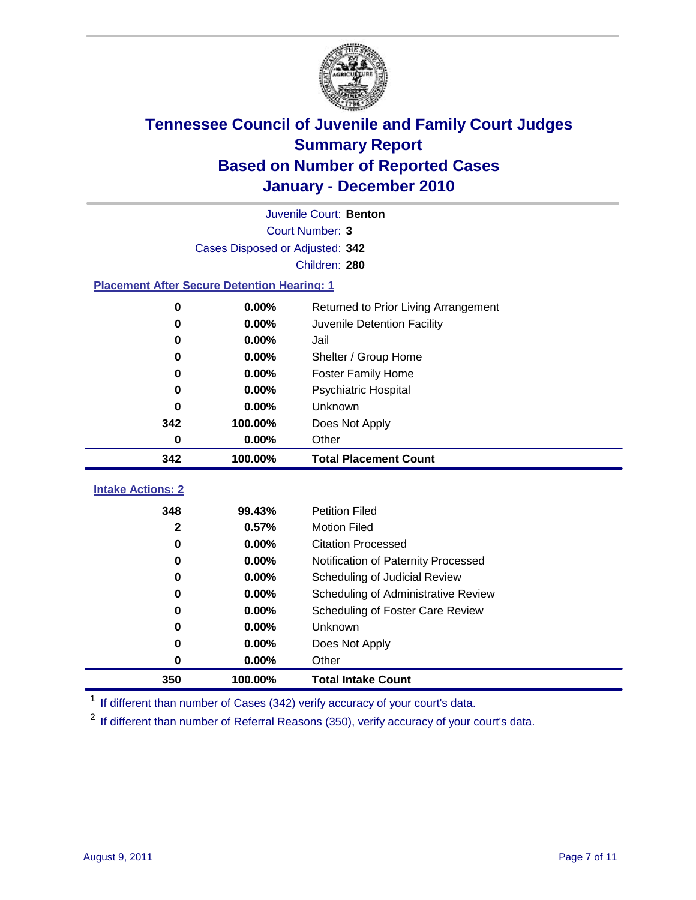

|                                                    | Juvenile Court: Benton          |                                      |  |  |  |  |  |
|----------------------------------------------------|---------------------------------|--------------------------------------|--|--|--|--|--|
|                                                    | <b>Court Number: 3</b>          |                                      |  |  |  |  |  |
|                                                    | Cases Disposed or Adjusted: 342 |                                      |  |  |  |  |  |
|                                                    | Children: 280                   |                                      |  |  |  |  |  |
| <b>Placement After Secure Detention Hearing: 1</b> |                                 |                                      |  |  |  |  |  |
| 0                                                  | 0.00%                           | Returned to Prior Living Arrangement |  |  |  |  |  |
| $\bf{0}$                                           | 0.00%                           | Juvenile Detention Facility          |  |  |  |  |  |
| $\bf{0}$                                           | 0.00%                           | Jail                                 |  |  |  |  |  |
| 0                                                  | 0.00%                           | Shelter / Group Home                 |  |  |  |  |  |
| 0                                                  | 0.00%                           | <b>Foster Family Home</b>            |  |  |  |  |  |
| $\bf{0}$                                           | 0.00%                           | <b>Psychiatric Hospital</b>          |  |  |  |  |  |
| 0                                                  | 0.00%                           | Unknown                              |  |  |  |  |  |
| 342                                                | 100.00%                         | Does Not Apply                       |  |  |  |  |  |
| 0                                                  | 0.00%                           | Other                                |  |  |  |  |  |
| 342                                                | 100.00%                         | <b>Total Placement Count</b>         |  |  |  |  |  |
| <b>Intake Actions: 2</b>                           |                                 |                                      |  |  |  |  |  |
| 348                                                |                                 |                                      |  |  |  |  |  |
|                                                    | 99.43%                          | <b>Petition Filed</b>                |  |  |  |  |  |
| $\mathbf{2}$                                       | 0.57%                           | <b>Motion Filed</b>                  |  |  |  |  |  |
| $\bf{0}$                                           | 0.00%                           | <b>Citation Processed</b>            |  |  |  |  |  |
| 0                                                  | 0.00%                           | Notification of Paternity Processed  |  |  |  |  |  |
| 0                                                  | 0.00%                           | Scheduling of Judicial Review        |  |  |  |  |  |
| 0                                                  | 0.00%                           | Scheduling of Administrative Review  |  |  |  |  |  |
| 0                                                  | 0.00%                           | Scheduling of Foster Care Review     |  |  |  |  |  |
| $\bf{0}$                                           | 0.00%                           | Unknown                              |  |  |  |  |  |
| 0                                                  | 0.00%                           | Does Not Apply                       |  |  |  |  |  |
| $\pmb{0}$                                          | 0.00%                           | Other                                |  |  |  |  |  |

<sup>1</sup> If different than number of Cases (342) verify accuracy of your court's data.

<sup>2</sup> If different than number of Referral Reasons (350), verify accuracy of your court's data.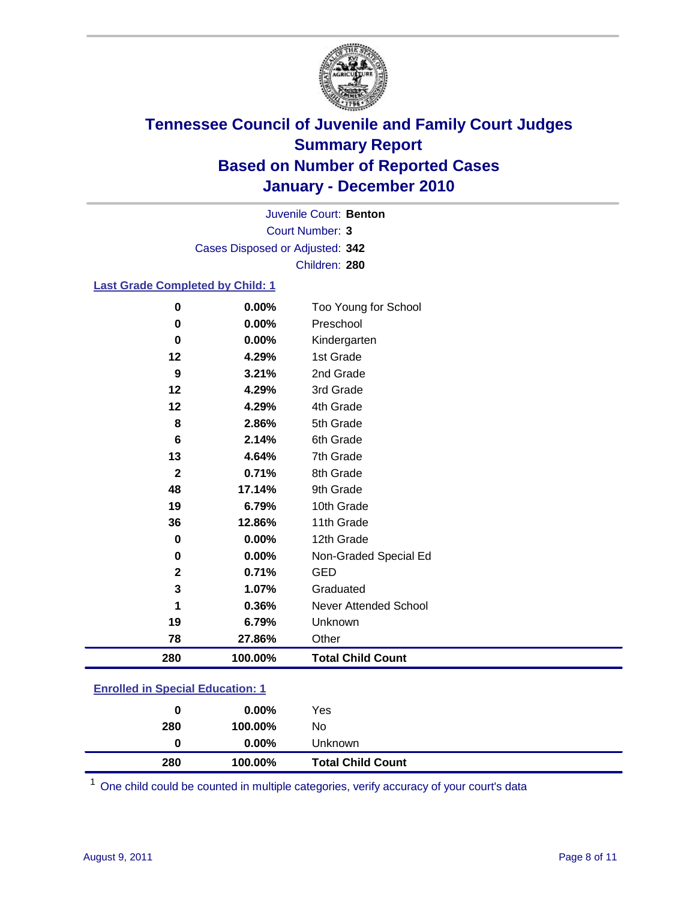

Court Number: **3** Juvenile Court: **Benton** Cases Disposed or Adjusted: **342** Children: **280**

#### **Last Grade Completed by Child: 1**

| 280          | 100.00% | <b>Total Child Count</b> |
|--------------|---------|--------------------------|
| 78           | 27.86%  | Other                    |
| 19           | 6.79%   | Unknown                  |
|              | 0.36%   | Never Attended School    |
| 3            | 1.07%   | Graduated                |
| $\mathbf{2}$ | 0.71%   | <b>GED</b>               |
| 0            | 0.00%   | Non-Graded Special Ed    |
| 0            | 0.00%   | 12th Grade               |
| 36           | 12.86%  | 11th Grade               |
| 19           | 6.79%   | 10th Grade               |
| 48           | 17.14%  | 9th Grade                |
| $\mathbf{2}$ | 0.71%   | 8th Grade                |
| 13           | 4.64%   | 7th Grade                |
| 6            | 2.14%   | 6th Grade                |
| 8            | 2.86%   | 5th Grade                |
| 12           | 4.29%   | 4th Grade                |
| 12           | 4.29%   | 3rd Grade                |
| 9            | 3.21%   | 2nd Grade                |
| 12           | 4.29%   | 1st Grade                |
| $\mathbf 0$  | 0.00%   | Kindergarten             |
| 0            | 0.00%   | Preschool                |
| $\mathbf 0$  | 0.00%   | Too Young for School     |

### **Enrolled in Special Education: 1**

| 280 | 100.00%  | No                       |  |
|-----|----------|--------------------------|--|
| 0   | $0.00\%$ | Unknown                  |  |
| 280 | 100.00%  | <b>Total Child Count</b> |  |

One child could be counted in multiple categories, verify accuracy of your court's data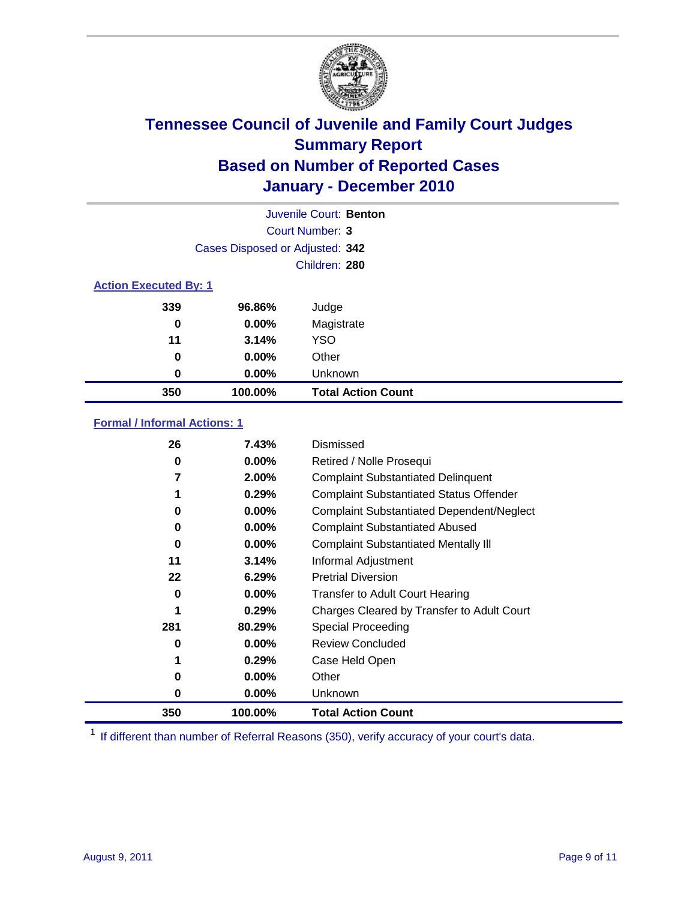

|                              |                                 | Juvenile Court: Benton    |
|------------------------------|---------------------------------|---------------------------|
|                              |                                 | Court Number: 3           |
|                              | Cases Disposed or Adjusted: 342 |                           |
|                              |                                 | Children: 280             |
| <b>Action Executed By: 1</b> |                                 |                           |
| 339                          | 96.86%                          | Judge                     |
| 0                            | $0.00\%$                        | Magistrate                |
| 11                           | 3.14%                           | <b>YSO</b>                |
| 0                            | 0.00%                           | Other                     |
| 0                            | 0.00%                           | Unknown                   |
| 350                          | 100.00%                         | <b>Total Action Count</b> |

#### **Formal / Informal Actions: 1**

| 26  | 7.43%    | Dismissed                                        |
|-----|----------|--------------------------------------------------|
| 0   | $0.00\%$ | Retired / Nolle Prosequi                         |
|     | $2.00\%$ | <b>Complaint Substantiated Delinquent</b>        |
|     | 0.29%    | <b>Complaint Substantiated Status Offender</b>   |
| 0   | $0.00\%$ | <b>Complaint Substantiated Dependent/Neglect</b> |
| 0   | $0.00\%$ | <b>Complaint Substantiated Abused</b>            |
| 0   | $0.00\%$ | <b>Complaint Substantiated Mentally III</b>      |
| 11  | 3.14%    | Informal Adjustment                              |
| 22  | 6.29%    | <b>Pretrial Diversion</b>                        |
| 0   | $0.00\%$ | <b>Transfer to Adult Court Hearing</b>           |
|     | 0.29%    | Charges Cleared by Transfer to Adult Court       |
| 281 | 80.29%   | Special Proceeding                               |
| 0   | $0.00\%$ | <b>Review Concluded</b>                          |
|     | 0.29%    | Case Held Open                                   |
| 0   | $0.00\%$ | Other                                            |
| 0   | $0.00\%$ | Unknown                                          |
| 350 | 100.00%  | Total Action Count                               |

<sup>1</sup> If different than number of Referral Reasons (350), verify accuracy of your court's data.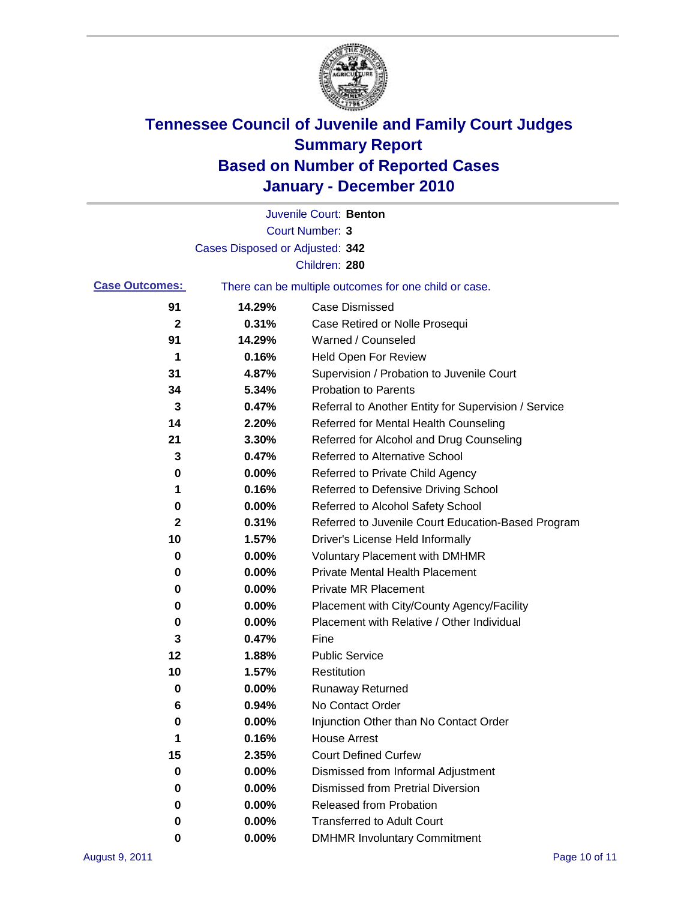

|                       |                                 | Juvenile Court: Benton                                |
|-----------------------|---------------------------------|-------------------------------------------------------|
|                       |                                 | <b>Court Number: 3</b>                                |
|                       | Cases Disposed or Adjusted: 342 |                                                       |
|                       |                                 | Children: 280                                         |
| <b>Case Outcomes:</b> |                                 | There can be multiple outcomes for one child or case. |
| 91                    | 14.29%                          | <b>Case Dismissed</b>                                 |
| $\mathbf{2}$          | 0.31%                           | Case Retired or Nolle Prosequi                        |
| 91                    | 14.29%                          | Warned / Counseled                                    |
| 1                     | 0.16%                           | Held Open For Review                                  |
| 31                    | 4.87%                           | Supervision / Probation to Juvenile Court             |
| 34                    | 5.34%                           | <b>Probation to Parents</b>                           |
| 3                     | 0.47%                           | Referral to Another Entity for Supervision / Service  |
| 14                    | 2.20%                           | Referred for Mental Health Counseling                 |
| 21                    | 3.30%                           | Referred for Alcohol and Drug Counseling              |
| 3                     | 0.47%                           | <b>Referred to Alternative School</b>                 |
| 0                     | 0.00%                           | Referred to Private Child Agency                      |
| 1                     | 0.16%                           | Referred to Defensive Driving School                  |
| 0                     | 0.00%                           | Referred to Alcohol Safety School                     |
| 2                     | 0.31%                           | Referred to Juvenile Court Education-Based Program    |
| 10                    | 1.57%                           | Driver's License Held Informally                      |
| 0                     | 0.00%                           | <b>Voluntary Placement with DMHMR</b>                 |
| 0                     | 0.00%                           | <b>Private Mental Health Placement</b>                |
| 0                     | 0.00%                           | <b>Private MR Placement</b>                           |
| 0                     | 0.00%                           | Placement with City/County Agency/Facility            |
| 0                     | 0.00%                           | Placement with Relative / Other Individual            |
| 3                     | 0.47%                           | Fine                                                  |
| 12                    | 1.88%                           | <b>Public Service</b>                                 |
| 10                    | 1.57%                           | Restitution                                           |
| 0                     | 0.00%                           | <b>Runaway Returned</b>                               |
| 6                     | 0.94%                           | No Contact Order                                      |
| 0                     | 0.00%                           | Injunction Other than No Contact Order                |
| 1                     | 0.16%                           | <b>House Arrest</b>                                   |
| 15                    | 2.35%                           | <b>Court Defined Curfew</b>                           |
| 0                     | 0.00%                           | Dismissed from Informal Adjustment                    |
| 0                     | 0.00%                           | <b>Dismissed from Pretrial Diversion</b>              |
| 0                     | 0.00%                           | Released from Probation                               |
| 0                     | 0.00%                           | <b>Transferred to Adult Court</b>                     |
| 0                     | $0.00\%$                        | <b>DMHMR Involuntary Commitment</b>                   |